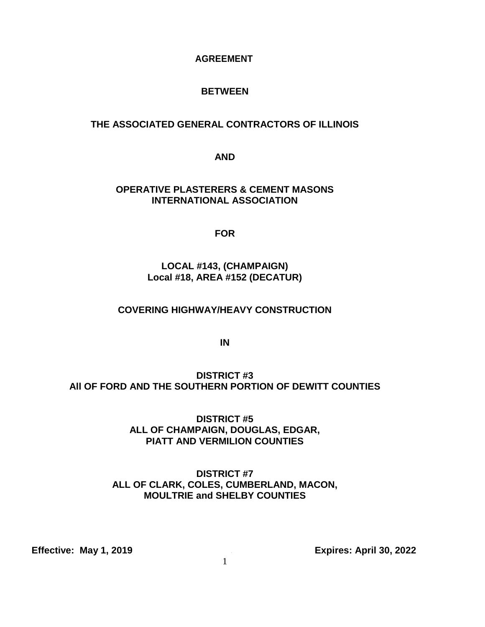### **AGREEMENT**

# **BETWEEN**

# **THE ASSOCIATED GENERAL CONTRACTORS OF ILLINOIS**

**AND**

# **OPERATIVE PLASTERERS & CEMENT MASONS INTERNATIONAL ASSOCIATION**

**FOR**

# **LOCAL #143, (CHAMPAIGN) Local #18, AREA #152 (DECATUR)**

## **COVERING HIGHWAY/HEAVY CONSTRUCTION**

**IN**

**DISTRICT #3 All OF FORD AND THE SOUTHERN PORTION OF DEWITT COUNTIES**

> **DISTRICT #5 ALL OF CHAMPAIGN, DOUGLAS, EDGAR, PIATT AND VERMILION COUNTIES**

# **DISTRICT #7 ALL OF CLARK, COLES, CUMBERLAND, MACON, MOULTRIE and SHELBY COUNTIES**

**Effective: May 1, 2019** *Construction Expires: April 30, 2022*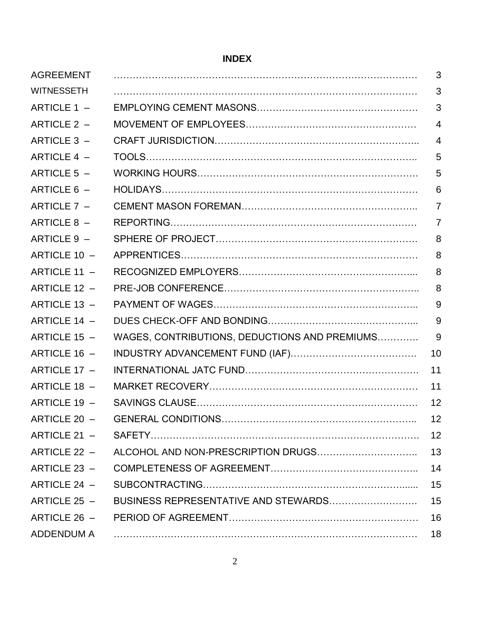# **INDEX**

| <b>AGREEMENT</b>  |                                               | 3              |
|-------------------|-----------------------------------------------|----------------|
| <b>WITNESSETH</b> |                                               | 3              |
| ARTICLE 1 -       |                                               | 3              |
| ARTICLE 2 -       |                                               | $\overline{4}$ |
| ARTICLE 3 -       |                                               | $\overline{4}$ |
| ARTICLE 4 -       |                                               | 5              |
| ARTICLE 5 -       |                                               | 5              |
| ARTICLE 6 -       |                                               | 6              |
| ARTICLE 7 -       |                                               | $\overline{7}$ |
| ARTICLE 8 -       |                                               | $\overline{7}$ |
| ARTICLE 9 -       |                                               | 8              |
| ARTICLE 10 -      |                                               | 8              |
| ARTICLE 11 -      |                                               | 8              |
| ARTICLE 12 -      |                                               | 8              |
| ARTICLE 13 -      |                                               | 9              |
| ARTICLE 14 -      |                                               | 9              |
| ARTICLE 15 -      | WAGES, CONTRIBUTIONS, DEDUCTIONS AND PREMIUMS | 9              |
| ARTICLE 16 -      |                                               | 10             |
| ARTICLE 17 -      |                                               | 11             |
| ARTICLE 18 -      |                                               | 11             |
| ARTICLE 19 -      |                                               | 12             |
| ARTICLE 20 -      |                                               | 12             |
| ARTICLE 21 -      |                                               | 12             |
| ARTICLE 22 -      |                                               | 13             |
| ARTICLE 23 -      |                                               | 14             |
| ARTICLE 24 -      |                                               | 15             |
| ARTICLE $25 -$    | BUSINESS REPRESENTATIVE AND STEWARDS          | 15             |
| ARTICLE 26 -      |                                               | 16             |
| ADDENDUM A        |                                               | 18             |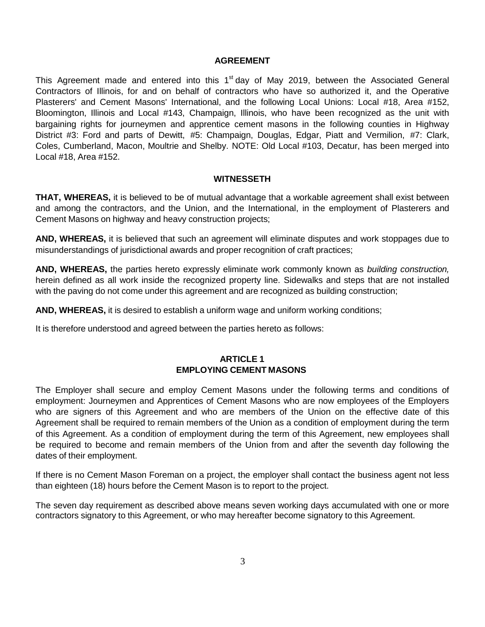#### **AGREEMENT**

This Agreement made and entered into this 1<sup>st</sup> day of May 2019, between the Associated General Contractors of Illinois, for and on behalf of contractors who have so authorized it, and the Operative Plasterers' and Cement Masons' International, and the following Local Unions: Local #18, Area #152, Bloomington, Illinois and Local #143, Champaign, Illinois, who have been recognized as the unit with bargaining rights for journeymen and apprentice cement masons in the following counties in Highway District #3: Ford and parts of Dewitt, #5: Champaign, Douglas, Edgar, Piatt and Vermilion, #7: Clark, Coles, Cumberland, Macon, Moultrie and Shelby. NOTE: Old Local #103, Decatur, has been merged into Local #18, Area #152.

#### **WITNESSETH**

**THAT, WHEREAS,** it is believed to be of mutual advantage that a workable agreement shall exist between and among the contractors, and the Union, and the International, in the employment of Plasterers and Cement Masons on highway and heavy construction projects;

**AND, WHEREAS,** it is believed that such an agreement will eliminate disputes and work stoppages due to misunderstandings of jurisdictional awards and proper recognition of craft practices;

**AND, WHEREAS,** the parties hereto expressly eliminate work commonly known as *building construction,* herein defined as all work inside the recognized property line. Sidewalks and steps that are not installed with the paving do not come under this agreement and are recognized as building construction;

**AND, WHEREAS,** it is desired to establish a uniform wage and uniform working conditions;

It is therefore understood and agreed between the parties hereto as follows:

#### **ARTICLE 1 EMPLOYING CEMENT MASONS**

The Employer shall secure and employ Cement Masons under the following terms and conditions of employment: Journeymen and Apprentices of Cement Masons who are now employees of the Employers who are signers of this Agreement and who are members of the Union on the effective date of this Agreement shall be required to remain members of the Union as a condition of employment during the term of this Agreement. As a condition of employment during the term of this Agreement, new employees shall be required to become and remain members of the Union from and after the seventh day following the dates of their employment.

If there is no Cement Mason Foreman on a project, the employer shall contact the business agent not less than eighteen (18) hours before the Cement Mason is to report to the project.

The seven day requirement as described above means seven working days accumulated with one or more contractors signatory to this Agreement, or who may hereafter become signatory to this Agreement.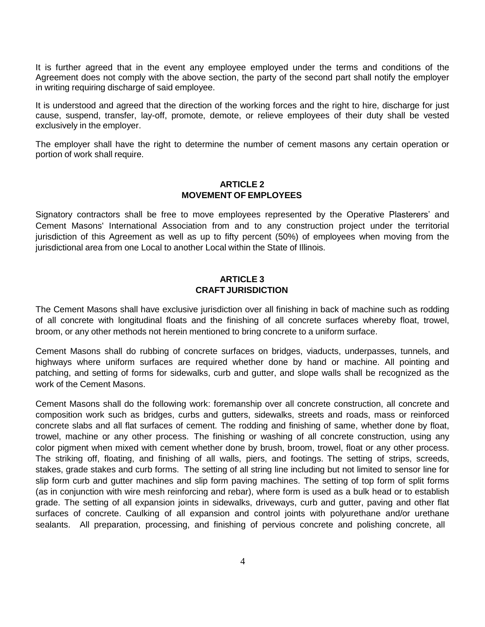It is further agreed that in the event any employee employed under the terms and conditions of the Agreement does not comply with the above section, the party of the second part shall notify the employer in writing requiring discharge of said employee.

It is understood and agreed that the direction of the working forces and the right to hire, discharge for just cause, suspend, transfer, lay-off, promote, demote, or relieve employees of their duty shall be vested exclusively in the employer.

The employer shall have the right to determine the number of cement masons any certain operation or portion of work shall require.

#### **ARTICLE 2 MOVEMENT OF EMPLOYEES**

Signatory contractors shall be free to move employees represented by the Operative Plasterers' and Cement Masons' International Association from and to any construction project under the territorial jurisdiction of this Agreement as well as up to fifty percent (50%) of employees when moving from the jurisdictional area from one Local to another Local within the State of Illinois.

#### **ARTICLE 3 CRAFT JURISDICTION**

The Cement Masons shall have exclusive jurisdiction over all finishing in back of machine such as rodding of all concrete with longitudinal floats and the finishing of all concrete surfaces whereby float, trowel, broom, or any other methods not herein mentioned to bring concrete to a uniform surface.

Cement Masons shall do rubbing of concrete surfaces on bridges, viaducts, underpasses, tunnels, and highways where uniform surfaces are required whether done by hand or machine. All pointing and patching, and setting of forms for sidewalks, curb and gutter, and slope walls shall be recognized as the work of the Cement Masons.

Cement Masons shall do the following work: foremanship over all concrete construction, all concrete and composition work such as bridges, curbs and gutters, sidewalks, streets and roads, mass or reinforced concrete slabs and all flat surfaces of cement. The rodding and finishing of same, whether done by float, trowel, machine or any other process. The finishing or washing of all concrete construction, using any color pigment when mixed with cement whether done by brush, broom, trowel, float or any other process. The striking off, floating, and finishing of all walls, piers, and footings. The setting of strips, screeds, stakes, grade stakes and curb forms. The setting of all string line including but not limited to sensor line for slip form curb and gutter machines and slip form paving machines. The setting of top form of split forms (as in conjunction with wire mesh reinforcing and rebar), where form is used as a bulk head or to establish grade. The setting of all expansion joints in sidewalks, driveways, curb and gutter, paving and other flat surfaces of concrete. Caulking of all expansion and control joints with polyurethane and/or urethane sealants. All preparation, processing, and finishing of pervious concrete and polishing concrete, all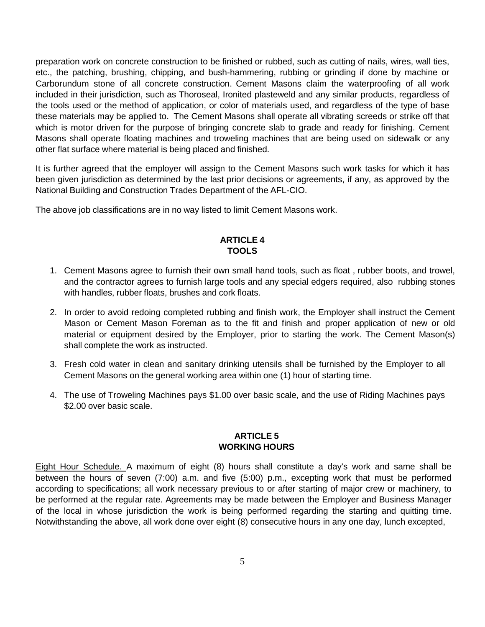preparation work on concrete construction to be finished or rubbed, such as cutting of nails, wires, wall ties, etc., the patching, brushing, chipping, and bush-hammering, rubbing or grinding if done by machine or Carborundum stone of all concrete construction. Cement Masons claim the waterproofing of all work included in their jurisdiction, such as Thoroseal, Ironited plasteweld and any similar products, regardless of the tools used or the method of application, or color of materials used, and regardless of the type of base these materials may be applied to. The Cement Masons shall operate all vibrating screeds or strike off that which is motor driven for the purpose of bringing concrete slab to grade and ready for finishing. Cement Masons shall operate floating machines and troweling machines that are being used on sidewalk or any other flat surface where material is being placed and finished.

It is further agreed that the employer will assign to the Cement Masons such work tasks for which it has been given jurisdiction as determined by the last prior decisions or agreements, if any, as approved by the National Building and Construction Trades Department of the AFL-CIO.

The above job classifications are in no way listed to limit Cement Masons work.

# **ARTICLE 4 TOOLS**

- 1. Cement Masons agree to furnish their own small hand tools, such as float , rubber boots, and trowel, and the contractor agrees to furnish large tools and any special edgers required, also rubbing stones with handles, rubber floats, brushes and cork floats.
- 2. In order to avoid redoing completed rubbing and finish work, the Employer shall instruct the Cement Mason or Cement Mason Foreman as to the fit and finish and proper application of new or old material or equipment desired by the Employer, prior to starting the work. The Cement Mason(s) shall complete the work as instructed.
- 3. Fresh cold water in clean and sanitary drinking utensils shall be furnished by the Employer to all Cement Masons on the general working area within one (1) hour of starting time.
- 4. The use of Troweling Machines pays \$1.00 over basic scale, and the use of Riding Machines pays \$2.00 over basic scale.

#### **ARTICLE 5 WORKING HOURS**

Eight Hour Schedule. A maximum of eight (8) hours shall constitute a day's work and same shall be between the hours of seven (7:00) a.m. and five (5:00) p.m., excepting work that must be performed according to specifications; all work necessary previous to or after starting of major crew or machinery, to be performed at the regular rate. Agreements may be made between the Employer and Business Manager of the local in whose jurisdiction the work is being performed regarding the starting and quitting time. Notwithstanding the above, all work done over eight (8) consecutive hours in any one day, lunch excepted,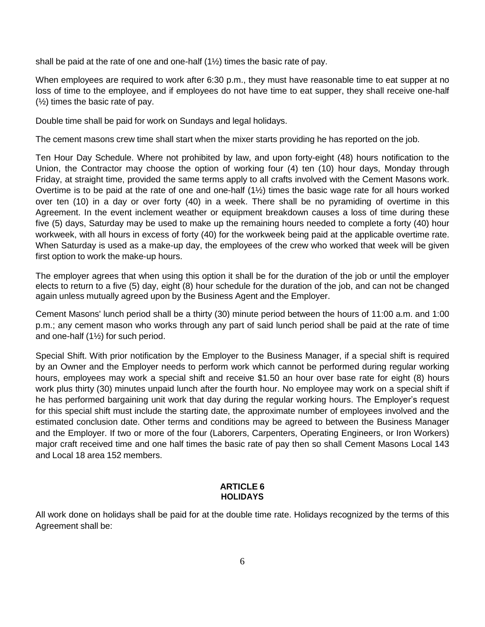shall be paid at the rate of one and one-half (1½) times the basic rate of pay.

When employees are required to work after 6:30 p.m., they must have reasonable time to eat supper at no loss of time to the employee, and if employees do not have time to eat supper, they shall receive one-half (½) times the basic rate of pay.

Double time shall be paid for work on Sundays and legal holidays.

The cement masons crew time shall start when the mixer starts providing he has reported on the job.

Ten Hour Day Schedule. Where not prohibited by law, and upon forty-eight (48) hours notification to the Union, the Contractor may choose the option of working four (4) ten (10) hour days, Monday through Friday, at straight time, provided the same terms apply to all crafts involved with the Cement Masons work. Overtime is to be paid at the rate of one and one-half (1½) times the basic wage rate for all hours worked over ten (10) in a day or over forty (40) in a week. There shall be no pyramiding of overtime in this Agreement. In the event inclement weather or equipment breakdown causes a loss of time during these five (5) days, Saturday may be used to make up the remaining hours needed to complete a forty (40) hour workweek, with all hours in excess of forty (40) for the workweek being paid at the applicable overtime rate. When Saturday is used as a make-up day, the employees of the crew who worked that week will be given first option to work the make-up hours.

The employer agrees that when using this option it shall be for the duration of the job or until the employer elects to return to a five (5) day, eight (8) hour schedule for the duration of the job, and can not be changed again unless mutually agreed upon by the Business Agent and the Employer.

Cement Masons' lunch period shall be a thirty (30) minute period between the hours of 11:00 a.m. and 1:00 p.m.; any cement mason who works through any part of said lunch period shall be paid at the rate of time and one-half (1½) for such period.

Special Shift. With prior notification by the Employer to the Business Manager, if a special shift is required by an Owner and the Employer needs to perform work which cannot be performed during regular working hours, employees may work a special shift and receive \$1.50 an hour over base rate for eight (8) hours work plus thirty (30) minutes unpaid lunch after the fourth hour. No employee may work on a special shift if he has performed bargaining unit work that day during the regular working hours. The Employer's request for this special shift must include the starting date, the approximate number of employees involved and the estimated conclusion date. Other terms and conditions may be agreed to between the Business Manager and the Employer. If two or more of the four (Laborers, Carpenters, Operating Engineers, or Iron Workers) major craft received time and one half times the basic rate of pay then so shall Cement Masons Local 143 and Local 18 area 152 members.

#### **ARTICLE 6 HOLIDAYS**

All work done on holidays shall be paid for at the double time rate. Holidays recognized by the terms of this Agreement shall be: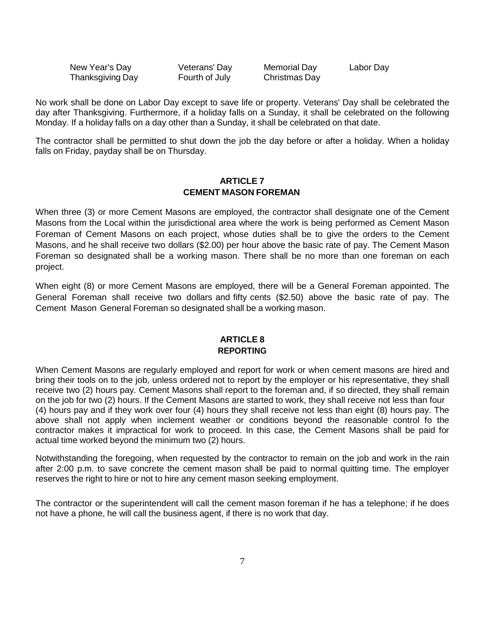New Year's Day Veterans' Day Memorial Day Labor Day Thanksgiving Day Fourth of July Christmas Day

No work shall be done on Labor Day except to save life or property. Veterans' Day shall be celebrated the day after Thanksgiving. Furthermore, if a holiday falls on a Sunday, it shall be celebrated on the following Monday. If a holiday falls on a day other than a Sunday, it shall be celebrated on that date.

The contractor shall be permitted to shut down the job the day before or after a holiday. When a holiday falls on Friday, payday shall be on Thursday.

#### **ARTICLE 7 CEMENT MASON FOREMAN**

When three (3) or more Cement Masons are employed, the contractor shall designate one of the Cement Masons from the Local within the jurisdictional area where the work is being performed as Cement Mason Foreman of Cement Masons on each project, whose duties shall be to give the orders to the Cement Masons, and he shall receive two dollars (\$2.00) per hour above the basic rate of pay. The Cement Mason Foreman so designated shall be a working mason. There shall be no more than one foreman on each project.

When eight (8) or more Cement Masons are employed, there will be a General Foreman appointed. The General Foreman shall receive two dollars and fifty cents (\$2.50) above the basic rate of pay. The Cement Mason General Foreman so designated shall be a working mason.

#### **ARTICLE 8 REPORTING**

When Cement Masons are regularly employed and report for work or when cement masons are hired and bring their tools on to the job, unless ordered not to report by the employer or his representative, they shall receive two (2) hours pay. Cement Masons shall report to the foreman and, if so directed, they shall remain on the job for two (2) hours. If the Cement Masons are started to work, they shall receive not less than four (4) hours pay and if they work over four (4) hours they shall receive not less than eight (8) hours pay. The above shall not apply when inclement weather or conditions beyond the reasonable control fo the contractor makes it impractical for work to proceed. In this case, the Cement Masons shall be paid for actual time worked beyond the minimum two (2) hours.

Notwithstanding the foregoing, when requested by the contractor to remain on the job and work in the rain after 2:00 p.m. to save concrete the cement mason shall be paid to normal quitting time. The employer reserves the right to hire or not to hire any cement mason seeking employment.

The contractor or the superintendent will call the cement mason foreman if he has a telephone; if he does not have a phone, he will call the business agent, if there is no work that day.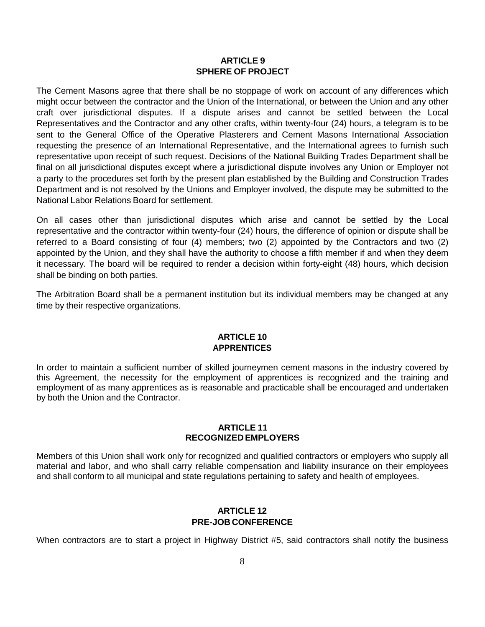#### **ARTICLE 9 SPHERE OF PROJECT**

The Cement Masons agree that there shall be no stoppage of work on account of any differences which might occur between the contractor and the Union of the International, or between the Union and any other craft over jurisdictional disputes. If a dispute arises and cannot be settled between the Local Representatives and the Contractor and any other crafts, within twenty-four (24) hours, a telegram is to be sent to the General Office of the Operative Plasterers and Cement Masons International Association requesting the presence of an International Representative, and the International agrees to furnish such representative upon receipt of such request. Decisions of the National Building Trades Department shall be final on all jurisdictional disputes except where a jurisdictional dispute involves any Union or Employer not a party to the procedures set forth by the present plan established by the Building and Construction Trades Department and is not resolved by the Unions and Employer involved, the dispute may be submitted to the National Labor Relations Board for settlement.

On all cases other than jurisdictional disputes which arise and cannot be settled by the Local representative and the contractor within twenty-four (24) hours, the difference of opinion or dispute shall be referred to a Board consisting of four (4) members; two (2) appointed by the Contractors and two (2) appointed by the Union, and they shall have the authority to choose a fifth member if and when they deem it necessary. The board will be required to render a decision within forty-eight (48) hours, which decision shall be binding on both parties.

The Arbitration Board shall be a permanent institution but its individual members may be changed at any time by their respective organizations.

#### **ARTICLE 10 APPRENTICES**

In order to maintain a sufficient number of skilled journeymen cement masons in the industry covered by this Agreement, the necessity for the employment of apprentices is recognized and the training and employment of as many apprentices as is reasonable and practicable shall be encouraged and undertaken by both the Union and the Contractor.

#### **ARTICLE 11 RECOGNIZED EMPLOYERS**

Members of this Union shall work only for recognized and qualified contractors or employers who supply all material and labor, and who shall carry reliable compensation and liability insurance on their employees and shall conform to all municipal and state regulations pertaining to safety and health of employees.

#### **ARTICLE 12 PRE-JOB CONFERENCE**

When contractors are to start a project in Highway District #5, said contractors shall notify the business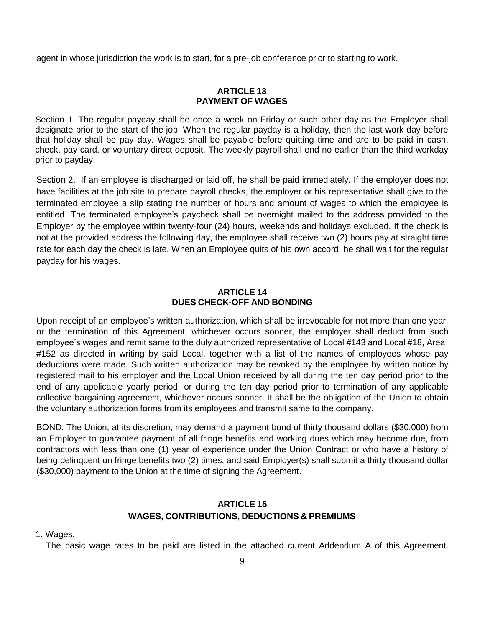agent in whose jurisdiction the work is to start, for a pre-job conference prior to starting to work.

#### **ARTICLE 13 PAYMENT OF WAGES**

Section 1. The regular payday shall be once a week on Friday or such other day as the Employer shall designate prior to the start of the job. When the regular payday is a holiday, then the last work day before that holiday shall be pay day. Wages shall be payable before quitting time and are to be paid in cash, check, pay card, or voluntary direct deposit. The weekly payroll shall end no earlier than the third workday prior to payday.

Section 2. If an employee is discharged or laid off, he shall be paid immediately. If the employer does not have facilities at the job site to prepare payroll checks, the employer or his representative shall give to the terminated employee a slip stating the number of hours and amount of wages to which the employee is entitled. The terminated employee's paycheck shall be overnight mailed to the address provided to the Employer by the employee within twenty-four (24) hours, weekends and holidays excluded. If the check is not at the provided address the following day, the employee shall receive two (2) hours pay at straight time rate for each day the check is late. When an Employee quits of his own accord, he shall wait for the regular payday for his wages.

#### **ARTICLE 14 DUES CHECK-OFF AND BONDING**

Upon receipt of an employee's written authorization, which shall be irrevocable for not more than one year, or the termination of this Agreement, whichever occurs sooner, the employer shall deduct from such employee's wages and remit same to the duly authorized representative of Local #143 and Local #18, Area #152 as directed in writing by said Local, together with a list of the names of employees whose pay deductions were made. Such written authorization may be revoked by the employee by written notice by registered mail to his employer and the Local Union received by all during the ten day period prior to the end of any applicable yearly period, or during the ten day period prior to termination of any applicable collective bargaining agreement, whichever occurs sooner. It shall be the obligation of the Union to obtain the voluntary authorization forms from its employees and transmit same to the company.

BOND: The Union, at its discretion, may demand a payment bond of thirty thousand dollars (\$30,000) from an Employer to guarantee payment of all fringe benefits and working dues which may become due, from contractors with less than one (1) year of experience under the Union Contract or who have a history of being delinquent on fringe benefits two (2) times, and said Employer(s) shall submit a thirty thousand dollar (\$30,000) payment to the Union at the time of signing the Agreement.

# **ARTICLE 15 WAGES, CONTRIBUTIONS, DEDUCTIONS & PREMIUMS**

1. Wages.

The basic wage rates to be paid are listed in the attached current Addendum A of this Agreement.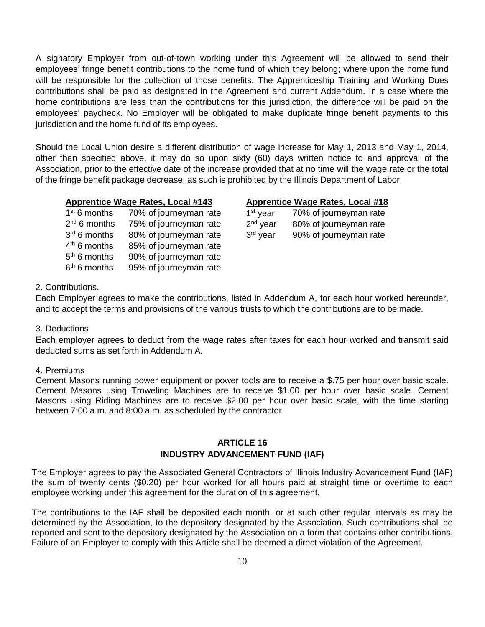A signatory Employer from out-of-town working under this Agreement will be allowed to send their employees' fringe benefit contributions to the home fund of which they belong; where upon the home fund will be responsible for the collection of those benefits. The Apprenticeship Training and Working Dues contributions shall be paid as designated in the Agreement and current Addendum. In a case where the home contributions are less than the contributions for this jurisdiction, the difference will be paid on the employees' paycheck. No Employer will be obligated to make duplicate fringe benefit payments to this jurisdiction and the home fund of its employees.

Should the Local Union desire a different distribution of wage increase for May 1, 2013 and May 1, 2014, other than specified above, it may do so upon sixty (60) days written notice to and approval of the Association, prior to the effective date of the increase provided that at no time will the wage rate or the total of the fringe benefit package decrease, as such is prohibited by the Illinois Department of Labor.

| $1st 6$ months | 70% of journeyman rate | 1 |
|----------------|------------------------|---|
| $2nd 6$ months | 75% of journeyman rate | 2 |
| 3rd 6 months   | 80% of journeyman rate | 3 |
| $4th$ 6 months | 85% of journeyman rate |   |
| $5th 6$ months | 90% of journeyman rate |   |
| $6th$ 6 months | 95% of journeyman rate |   |

#### **Apprentice Wage Rates, Local #143 Apprentice Wage Rates, Local #18**

| 1 <sup>st</sup> year | 70% of journeyman rate |
|----------------------|------------------------|
| 2 <sup>nd</sup> year | 80% of journeyman rate |
| 3 <sup>rd</sup> year | 90% of journeyman rate |

#### 2. Contributions.

Each Employer agrees to make the contributions, listed in Addendum A, for each hour worked hereunder, and to accept the terms and provisions of the various trusts to which the contributions are to be made.

#### 3. Deductions

Each employer agrees to deduct from the wage rates after taxes for each hour worked and transmit said deducted sums as set forth in Addendum A.

#### 4. Premiums

Cement Masons running power equipment or power tools are to receive a \$.75 per hour over basic scale. Cement Masons using Troweling Machines are to receive \$1.00 per hour over basic scale. Cement Masons using Riding Machines are to receive \$2.00 per hour over basic scale, with the time starting between 7:00 a.m. and 8:00 a.m. as scheduled by the contractor.

#### **ARTICLE 16 INDUSTRY ADVANCEMENT FUND (IAF)**

The Employer agrees to pay the Associated General Contractors of Illinois Industry Advancement Fund (IAF) the sum of twenty cents (\$0.20) per hour worked for all hours paid at straight time or overtime to each employee working under this agreement for the duration of this agreement.

The contributions to the IAF shall be deposited each month, or at such other regular intervals as may be determined by the Association, to the depository designated by the Association. Such contributions shall be reported and sent to the depository designated by the Association on a form that contains other contributions. Failure of an Employer to comply with this Article shall be deemed a direct violation of the Agreement.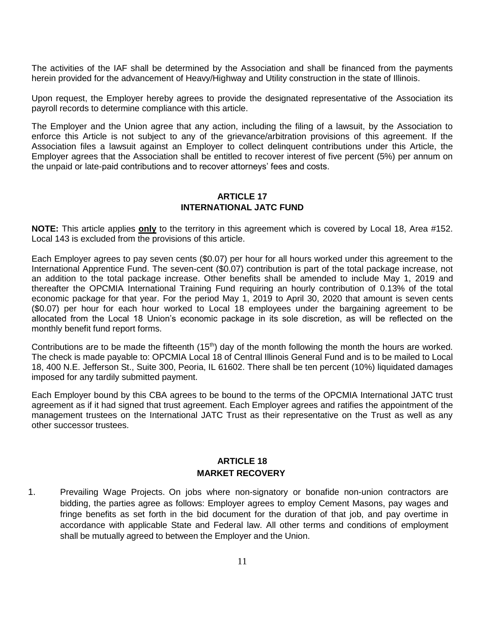The activities of the IAF shall be determined by the Association and shall be financed from the payments herein provided for the advancement of Heavy/Highway and Utility construction in the state of Illinois.

Upon request, the Employer hereby agrees to provide the designated representative of the Association its payroll records to determine compliance with this article.

The Employer and the Union agree that any action, including the filing of a lawsuit, by the Association to enforce this Article is not subject to any of the grievance/arbitration provisions of this agreement. If the Association files a lawsuit against an Employer to collect delinquent contributions under this Article, the Employer agrees that the Association shall be entitled to recover interest of five percent (5%) per annum on the unpaid or late-paid contributions and to recover attorneys' fees and costs.

#### **ARTICLE 17 INTERNATIONAL JATC FUND**

**NOTE:** This article applies **only** to the territory in this agreement which is covered by Local 18, Area #152. Local 143 is excluded from the provisions of this article.

Each Employer agrees to pay seven cents (\$0.07) per hour for all hours worked under this agreement to the International Apprentice Fund. The seven-cent (\$0.07) contribution is part of the total package increase, not an addition to the total package increase. Other benefits shall be amended to include May 1, 2019 and thereafter the OPCMIA International Training Fund requiring an hourly contribution of 0.13% of the total economic package for that year. For the period May 1, 2019 to April 30, 2020 that amount is seven cents (\$0.07) per hour for each hour worked to Local 18 employees under the bargaining agreement to be allocated from the Local 18 Union's economic package in its sole discretion, as will be reflected on the monthly benefit fund report forms.

Contributions are to be made the fifteenth (15<sup>th</sup>) day of the month following the month the hours are worked. The check is made payable to: OPCMIA Local 18 of Central Illinois General Fund and is to be mailed to Local 18, 400 N.E. Jefferson St., Suite 300, Peoria, IL 61602. There shall be ten percent (10%) liquidated damages imposed for any tardily submitted payment.

Each Employer bound by this CBA agrees to be bound to the terms of the OPCMIA International JATC trust agreement as if it had signed that trust agreement. Each Employer agrees and ratifies the appointment of the management trustees on the International JATC Trust as their representative on the Trust as well as any other successor trustees.

# **ARTICLE 18 MARKET RECOVERY**

1. Prevailing Wage Projects. On jobs where non-signatory or bonafide non-union contractors are bidding, the parties agree as follows: Employer agrees to employ Cement Masons, pay wages and fringe benefits as set forth in the bid document for the duration of that job, and pay overtime in accordance with applicable State and Federal law. All other terms and conditions of employment shall be mutually agreed to between the Employer and the Union.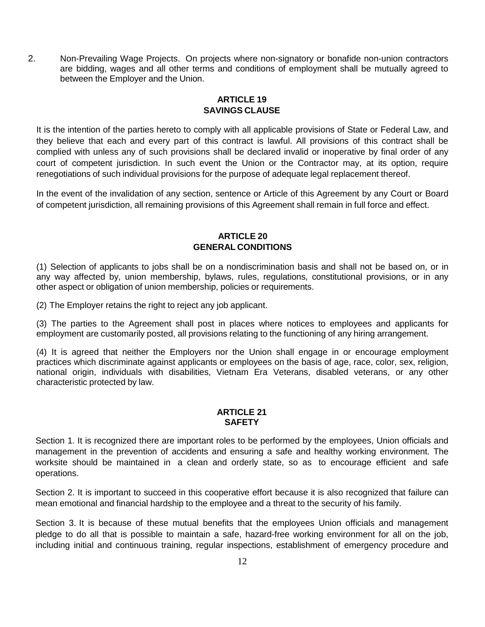2. Non-Prevailing Wage Projects. On projects where non-signatory or bonafide non-union contractors are bidding, wages and all other terms and conditions of employment shall be mutually agreed to between the Employer and the Union.

#### **ARTICLE 19 SAVINGS CLAUSE**

It is the intention of the parties hereto to comply with all applicable provisions of State or Federal Law, and they believe that each and every part of this contract is lawful. All provisions of this contract shall be complied with unless any of such provisions shall be declared invalid or inoperative by final order of any court of competent jurisdiction. In such event the Union or the Contractor may, at its option, require renegotiations of such individual provisions for the purpose of adequate legal replacement thereof.

In the event of the invalidation of any section, sentence or Article of this Agreement by any Court or Board of competent jurisdiction, all remaining provisions of this Agreement shall remain in full force and effect.

# **ARTICLE 20 GENERAL CONDITIONS**

(1) Selection of applicants to jobs shall be on a nondiscrimination basis and shall not be based on, or in any way affected by, union membership, bylaws, rules, regulations, constitutional provisions, or in any other aspect or obligation of union membership, policies or requirements.

(2) The Employer retains the right to reject any job applicant.

(3) The parties to the Agreement shall post in places where notices to employees and applicants for employment are customarily posted, all provisions relating to the functioning of any hiring arrangement.

(4) It is agreed that neither the Employers nor the Union shall engage in or encourage employment practices which discriminate against applicants or employees on the basis of age, race, color, sex, religion, national origin, individuals with disabilities, Vietnam Era Veterans, disabled veterans, or any other characteristic protected by law.

#### **ARTICLE 21 SAFETY**

Section 1. It is recognized there are important roles to be performed by the employees, Union officials and management in the prevention of accidents and ensuring a safe and healthy working environment. The worksite should be maintained in a clean and orderly state, so as to encourage efficient and safe operations.

Section 2. It is important to succeed in this cooperative effort because it is also recognized that failure can mean emotional and financial hardship to the employee and a threat to the security of his family.

Section 3. It is because of these mutual benefits that the employees Union officials and management pledge to do all that is possible to maintain a safe, hazard-free working environment for all on the job, including initial and continuous training, regular inspections, establishment of emergency procedure and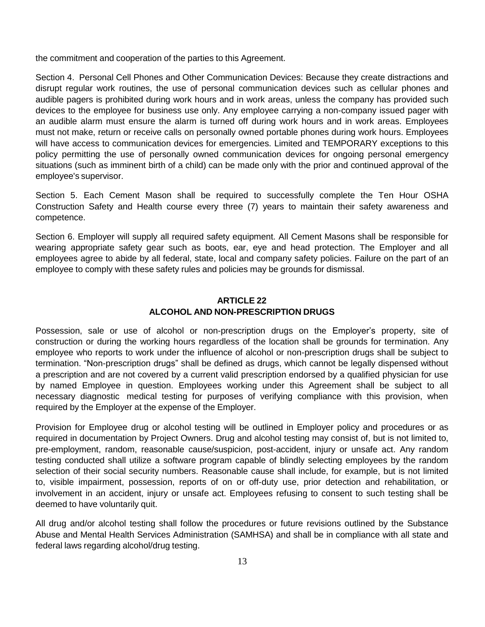the commitment and cooperation of the parties to this Agreement.

Section 4. Personal Cell Phones and Other Communication Devices: Because they create distractions and disrupt regular work routines, the use of personal communication devices such as cellular phones and audible pagers is prohibited during work hours and in work areas, unless the company has provided such devices to the employee for business use only. Any employee carrying a non-company issued pager with an audible alarm must ensure the alarm is turned off during work hours and in work areas. Employees must not make, return or receive calls on personally owned portable phones during work hours. Employees will have access to communication devices for emergencies. Limited and TEMPORARY exceptions to this policy permitting the use of personally owned communication devices for ongoing personal emergency situations (such as imminent birth of a child) can be made only with the prior and continued approval of the employee's supervisor.

Section 5. Each Cement Mason shall be required to successfully complete the Ten Hour OSHA Construction Safety and Health course every three (7) years to maintain their safety awareness and competence.

Section 6. Employer will supply all required safety equipment. All Cement Masons shall be responsible for wearing appropriate safety gear such as boots, ear, eye and head protection. The Employer and all employees agree to abide by all federal, state, local and company safety policies. Failure on the part of an employee to comply with these safety rules and policies may be grounds for dismissal.

# **ARTICLE 22 ALCOHOL AND NON-PRESCRIPTION DRUGS**

Possession, sale or use of alcohol or non-prescription drugs on the Employer's property, site of construction or during the working hours regardless of the location shall be grounds for termination. Any employee who reports to work under the influence of alcohol or non-prescription drugs shall be subject to termination. "Non-prescription drugs" shall be defined as drugs, which cannot be legally dispensed without a prescription and are not covered by a current valid prescription endorsed by a qualified physician for use by named Employee in question. Employees working under this Agreement shall be subject to all necessary diagnostic medical testing for purposes of verifying compliance with this provision, when required by the Employer at the expense of the Employer.

Provision for Employee drug or alcohol testing will be outlined in Employer policy and procedures or as required in documentation by Project Owners. Drug and alcohol testing may consist of, but is not limited to, pre-employment, random, reasonable cause/suspicion, post-accident, injury or unsafe act. Any random testing conducted shall utilize a software program capable of blindly selecting employees by the random selection of their social security numbers. Reasonable cause shall include, for example, but is not limited to, visible impairment, possession, reports of on or off-duty use, prior detection and rehabilitation, or involvement in an accident, injury or unsafe act. Employees refusing to consent to such testing shall be deemed to have voluntarily quit.

All drug and/or alcohol testing shall follow the procedures or future revisions outlined by the Substance Abuse and Mental Health Services Administration (SAMHSA) and shall be in compliance with all state and federal laws regarding alcohol/drug testing.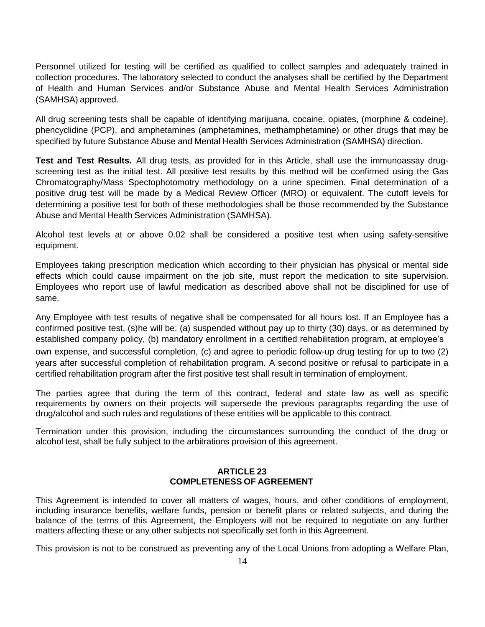Personnel utilized for testing will be certified as qualified to collect samples and adequately trained in collection procedures. The laboratory selected to conduct the analyses shall be certified by the Department of Health and Human Services and/or Substance Abuse and Mental Health Services Administration (SAMHSA) approved.

All drug screening tests shall be capable of identifying marijuana, cocaine, opiates, (morphine & codeine), phencyclidine (PCP), and amphetamines (amphetamines, methamphetamine) or other drugs that may be specified by future Substance Abuse and Mental Health Services Administration (SAMHSA) direction.

**Test and Test Results.** All drug tests, as provided for in this Article, shall use the immunoassay drugscreening test as the initial test. All positive test results by this method will be confirmed using the Gas Chromatography/Mass Spectophotomotry methodology on a urine specimen. Final determination of a positive drug test will be made by a Medical Review Officer (MRO) or equivalent. The cutoff levels for determining a positive test for both of these methodologies shall be those recommended by the Substance Abuse and Mental Health Services Administration (SAMHSA).

Alcohol test levels at or above 0.02 shall be considered a positive test when using safety-sensitive equipment.

Employees taking prescription medication which according to their physician has physical or mental side effects which could cause impairment on the job site, must report the medication to site supervision. Employees who report use of lawful medication as described above shall not be disciplined for use of same.

Any Employee with test results of negative shall be compensated for all hours lost. If an Employee has a confirmed positive test, (s)he will be: (a) suspended without pay up to thirty (30) days, or as determined by established company policy, (b) mandatory enrollment in a certified rehabilitation program, at employee's

own expense, and successful completion, (c) and agree to periodic follow-up drug testing for up to two (2) years after successful completion of rehabilitation program. A second positive or refusal to participate in a certified rehabilitation program after the first positive test shall result in termination of employment.

The parties agree that during the term of this contract, federal and state law as well as specific requirements by owners on their projects will supersede the previous paragraphs regarding the use of drug/alcohol and such rules and regulations of these entities will be applicable to this contract.

Termination under this provision, including the circumstances surrounding the conduct of the drug or alcohol test, shall be fully subject to the arbitrations provision of this agreement.

#### **ARTICLE 23 COMPLETENESS OF AGREEMENT**

This Agreement is intended to cover all matters of wages, hours, and other conditions of employment, including insurance benefits, welfare funds, pension or benefit plans or related subjects, and during the balance of the terms of this Agreement, the Employers will not be required to negotiate on any further matters affecting these or any other subjects not specifically set forth in this Agreement.

This provision is not to be construed as preventing any of the Local Unions from adopting a Welfare Plan,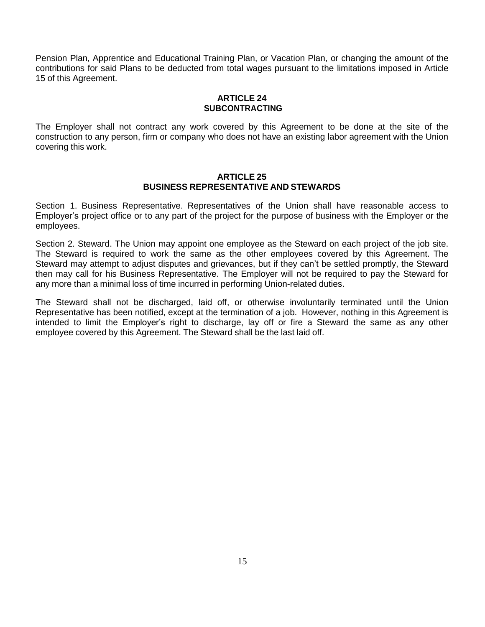Pension Plan, Apprentice and Educational Training Plan, or Vacation Plan, or changing the amount of the contributions for said Plans to be deducted from total wages pursuant to the limitations imposed in Article 15 of this Agreement.

#### **ARTICLE 24 SUBCONTRACTING**

The Employer shall not contract any work covered by this Agreement to be done at the site of the construction to any person, firm or company who does not have an existing labor agreement with the Union covering this work.

#### **ARTICLE 25 BUSINESS REPRESENTATIVE AND STEWARDS**

Section 1. Business Representative. Representatives of the Union shall have reasonable access to Employer's project office or to any part of the project for the purpose of business with the Employer or the employees.

Section 2. Steward. The Union may appoint one employee as the Steward on each project of the job site. The Steward is required to work the same as the other employees covered by this Agreement. The Steward may attempt to adjust disputes and grievances, but if they can't be settled promptly, the Steward then may call for his Business Representative. The Employer will not be required to pay the Steward for any more than a minimal loss of time incurred in performing Union-related duties.

The Steward shall not be discharged, laid off, or otherwise involuntarily terminated until the Union Representative has been notified, except at the termination of a job. However, nothing in this Agreement is intended to limit the Employer's right to discharge, lay off or fire a Steward the same as any other employee covered by this Agreement. The Steward shall be the last laid off.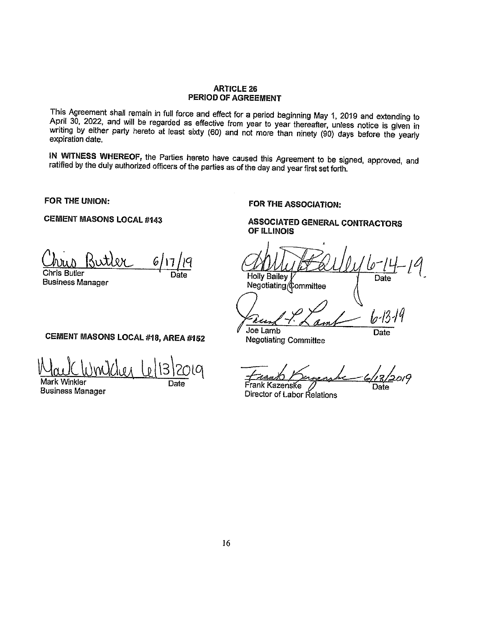#### **ARTICLE 26** PERIOD OF AGREEMENT

This Agreement shall remain in full force and effect for a period beginning May 1, 2019 and extending to April 30, 2022, and will be regarded as effective from year to year thereafter, unless notice is given in writing by either party hereto at least sixty (60) and not more than ninety (90) days before the yearly expiration date.

IN WITNESS WHEREOF, the Parties hereto have caused this Agreement to be signed, approved, and ratified by the duly authorized officers of the parties as of the day and year first set forth.

FOR THE UNION:

**CEMENT MASONS LOCAL #143** 

**ATJOH** 6. **Chris Butler** 

**Business Manager** 

Holly Bailey Negotiating Committee

OF ILLINOIS

lo-13-Joe Lamb

**ASSOCIATED GENERAL CONTRACTORS** 

**Negotiating Committee** 

FOR THE ASSOCIATION:

Date

Date

,<br>2019

Frank Kazenske Director of Labor Relations

Date

# CEMENT MASONS LOCAL #18, AREA #152

Mark Winkler

**Business Manager** 

Date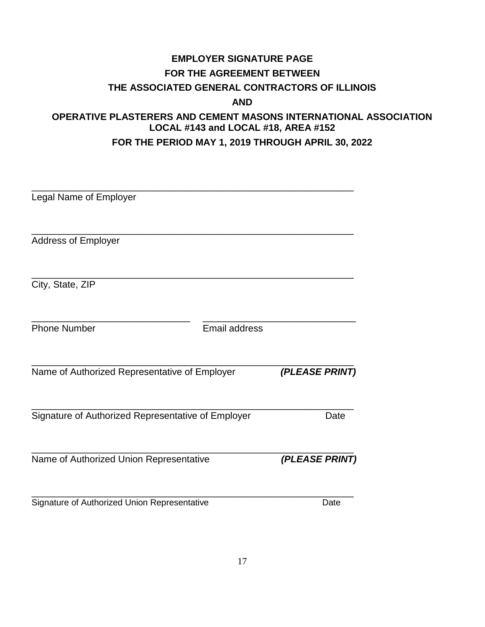# **EMPLOYER SIGNATURE PAGE FOR THE AGREEMENT BETWEEN THE ASSOCIATED GENERAL CONTRACTORS OF ILLINOIS AND**

# **OPERATIVE PLASTERERS AND CEMENT MASONS INTERNATIONAL ASSOCIATION LOCAL #143 and LOCAL #18, AREA #152 FOR THE PERIOD MAY 1, 2019 THROUGH APRIL 30, 2022**

| Legal Name of Employer                             |                      |  |
|----------------------------------------------------|----------------------|--|
| <b>Address of Employer</b>                         |                      |  |
| City, State, ZIP                                   |                      |  |
| <b>Phone Number</b>                                | <b>Email address</b> |  |
| Name of Authorized Representative of Employer      | (PLEASE PRINT)       |  |
| Signature of Authorized Representative of Employer | Date                 |  |
| Name of Authorized Union Representative            | (PLEASE PRINT)       |  |
| Signature of Authorized Union Representative       | Date                 |  |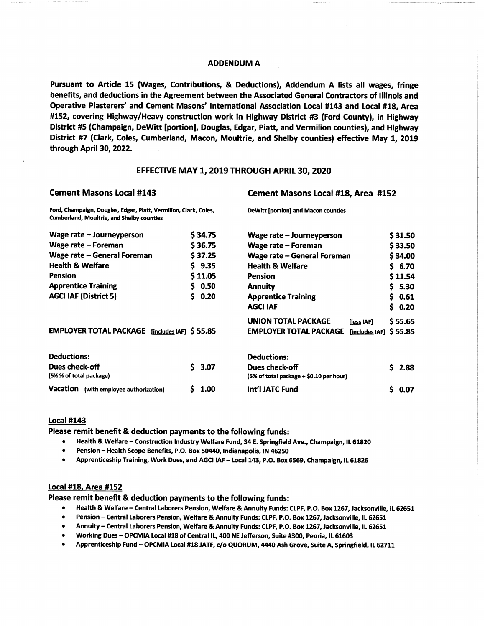#### **ADDENDUM A**

Pursuant to Article 15 (Wages, Contributions, & Deductions), Addendum A lists all wages, fringe benefits, and deductions in the Agreement between the Associated General Contractors of Illinois and Operative Plasterers' and Cement Masons' International Association Local #143 and Local #18, Area #152, covering Highway/Heavy construction work in Highway District #3 (Ford County), in Highway District #5 (Champaign, DeWitt [portion], Douglas, Edgar, Piatt, and Vermilion counties), and Highway District #7 (Clark, Coles, Cumberland, Macon, Moultrie, and Shelby counties) effective May 1, 2019 through April 30, 2022.

#### EFFECTIVE MAY 1, 2019 THROUGH APRIL 30, 2020

#### **Cement Masons Local #143**

#### **Cement Masons Local #18, Area #152**

| Ford, Champaign, Douglas, Edgar, Piatt, Vermilion, Clark, Coles,<br><b>Cumberland, Moultrie, and Shelby counties</b> |   |         | <b>DeWitt [portion] and Macon counties</b>      |    |                   |  |
|----------------------------------------------------------------------------------------------------------------------|---|---------|-------------------------------------------------|----|-------------------|--|
| Wage rate – Journeyperson                                                                                            |   | \$34.75 | Wage rate – Journeyperson                       |    | \$31.50           |  |
| Wage rate – Foreman                                                                                                  |   | \$36.75 | Wage rate - Foreman                             |    | \$33.50           |  |
| Wage rate – General Foreman                                                                                          |   | \$37.25 | Wage rate – General Foreman                     |    | \$34.00           |  |
| <b>Health &amp; Welfare</b>                                                                                          |   | \$9.35  | <b>Health &amp; Welfare</b>                     |    | \$6.70            |  |
| <b>Pension</b>                                                                                                       |   | \$11.05 | <b>Pension</b>                                  |    | \$11.54           |  |
| <b>Apprentice Training</b>                                                                                           |   | \$0.50  | <b>Annuity</b>                                  |    | S <sub>5.30</sub> |  |
| <b>AGCI IAF (District 5)</b>                                                                                         |   | \$0.20  | <b>Apprentice Training</b>                      |    | \$0.61            |  |
|                                                                                                                      |   |         | <b>AGCI IAF</b>                                 | Ś. | 0.20              |  |
|                                                                                                                      |   |         | <b>UNION TOTAL PACKAGE</b><br>[less IAF]        |    | \$55.65           |  |
| <b>EMPLOYER TOTAL PACKAGE</b><br>[includes IAF] $$55.85$                                                             |   |         | <b>EMPLOYER TOTAL PACKAGE</b><br>[includes IAF] |    | \$55.85           |  |
| <b>Deductions:</b>                                                                                                   |   |         | <b>Deductions:</b>                              |    |                   |  |
| Dues check-off                                                                                                       |   | \$3.07  | Dues check-off                                  | Ś. | 2.88              |  |
| (5½ % of total package)                                                                                              |   |         | (5% of total package + \$0.10 per hour)         |    |                   |  |
| Vacation (with employee authorization)                                                                               | s | 1.00    | Int'l JATC Fund                                 | \$ | 0.07              |  |

#### **Local #143**

Please remit benefit & deduction payments to the following funds:

- Health & Welfare Construction Industry Welfare Fund, 34 E. Springfield Ave., Champaign, IL 61820  $\bullet$  .
- Pension Health Scope Benefits, P.O. Box 50440, Indianapolis, IN 46250
- $\bullet$ Apprenticeship Training, Work Dues, and AGCI IAF - Local 143, P.O. Box 6569, Champaign, IL 61826

#### **Local #18, Area #152**

Please remit benefit & deduction payments to the following funds:

- Health & Welfare Central Laborers Pension, Welfare & Annuity Funds: CLPF, P.O. Box 1267, Jacksonville, IL 62651
- Pension Central Laborers Pension, Welfare & Annuity Funds: CLPF, P.O. Box 1267, Jacksonville, IL 62651
- Annuity Central Laborers Pension, Welfare & Annuity Funds: CLPF, P.O. Box 1267, Jacksonville, IL 62651  $\bullet$
- Working Dues OPCMIA Local #18 of Central IL, 400 NE Jefferson, Suite #300, Peoria, IL 61603
- Apprenticeship Fund OPCMIA Local #18 JATF, c/o QUORUM, 4440 Ash Grove, Suite A, Springfield, IL 62711